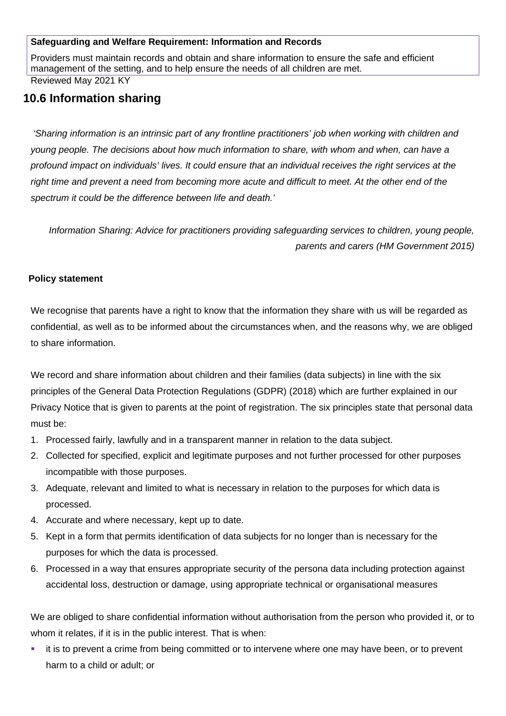#### **Safeguarding and Welfare Requirement: Information and Records**

Providers must maintain records and obtain and share information to ensure the safe and efficient management of the setting, and to help ensure the needs of all children are met.

Reviewed May 2021 KY

# **10.6 Information sharing**

 *'Sharing information is an intrinsic part of any frontline practitioners' job when working with children and young people. The decisions about how much information to share, with whom and when, can have a profound impact on individuals' lives. It could ensure that an individual receives the right services at the right time and prevent a need from becoming more acute and difficult to meet. At the other end of the spectrum it could be the difference between life and death.'*

*Information Sharing: Advice for practitioners providing safeguarding services to children, young people, parents and carers (HM Government 2015)*

## **Policy statement**

We recognise that parents have a right to know that the information they share with us will be regarded as confidential, as well as to be informed about the circumstances when, and the reasons why, we are obliged to share information.

We record and share information about children and their families (data subjects) in line with the six principles of the General Data Protection Regulations (GDPR) (2018) which are further explained in our Privacy Notice that is given to parents at the point of registration. The six principles state that personal data must be:

- 1. Processed fairly, lawfully and in a transparent manner in relation to the data subject.
- 2. Collected for specified, explicit and legitimate purposes and not further processed for other purposes incompatible with those purposes.
- 3. Adequate, relevant and limited to what is necessary in relation to the purposes for which data is processed.
- 4. Accurate and where necessary, kept up to date.
- 5. Kept in a form that permits identification of data subjects for no longer than is necessary for the purposes for which the data is processed.
- 6. Processed in a way that ensures appropriate security of the persona data including protection against accidental loss, destruction or damage, using appropriate technical or organisational measures

We are obliged to share confidential information without authorisation from the person who provided it, or to whom it relates, if it is in the public interest. That is when:

 it is to prevent a crime from being committed or to intervene where one may have been, or to prevent harm to a child or adult; or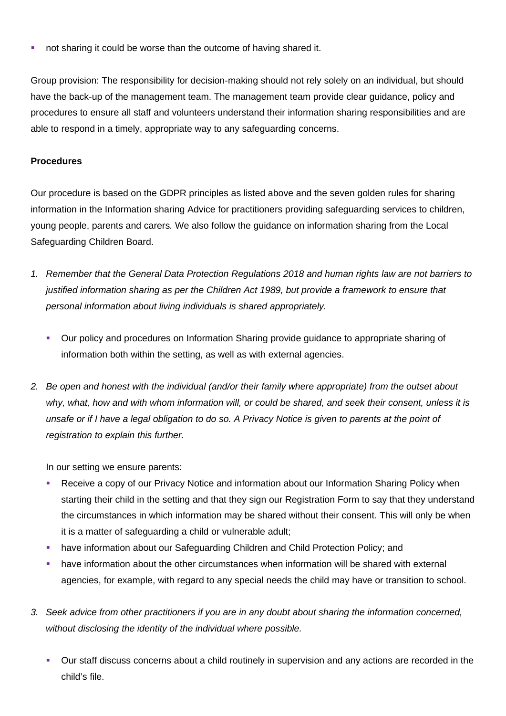**not sharing it could be worse than the outcome of having shared it.** 

Group provision: The responsibility for decision-making should not rely solely on an individual, but should have the back-up of the management team. The management team provide clear guidance, policy and procedures to ensure all staff and volunteers understand their information sharing responsibilities and are able to respond in a timely, appropriate way to any safeguarding concerns.

### **Procedures**

Our procedure is based on the GDPR principles as listed above and the seven golden rules for sharing information in the Information sharing Advice for practitioners providing safeguarding services to children, young people, parents and carers*.* We also follow the guidance on information sharing from the Local Safeguarding Children Board.

- *1. Remember that the General Data Protection Regulations 2018 and human rights law are not barriers to justified information sharing as per the Children Act 1989, but provide a framework to ensure that personal information about living individuals is shared appropriately.*
	- Our policy and procedures on Information Sharing provide guidance to appropriate sharing of information both within the setting, as well as with external agencies.
- *2. Be open and honest with the individual (and/or their family where appropriate) from the outset about why, what, how and with whom information will, or could be shared, and seek their consent, unless it is unsafe or if I have a legal obligation to do so. A Privacy Notice is given to parents at the point of registration to explain this further.*

In our setting we ensure parents:

- Receive a copy of our Privacy Notice and information about our Information Sharing Policy when starting their child in the setting and that they sign our Registration Form to say that they understand the circumstances in which information may be shared without their consent. This will only be when it is a matter of safeguarding a child or vulnerable adult;
- have information about our Safeguarding Children and Child Protection Policy; and
- have information about the other circumstances when information will be shared with external agencies, for example, with regard to any special needs the child may have or transition to school.
- *3. Seek advice from other practitioners if you are in any doubt about sharing the information concerned, without disclosing the identity of the individual where possible.*
	- Our staff discuss concerns about a child routinely in supervision and any actions are recorded in the child's file.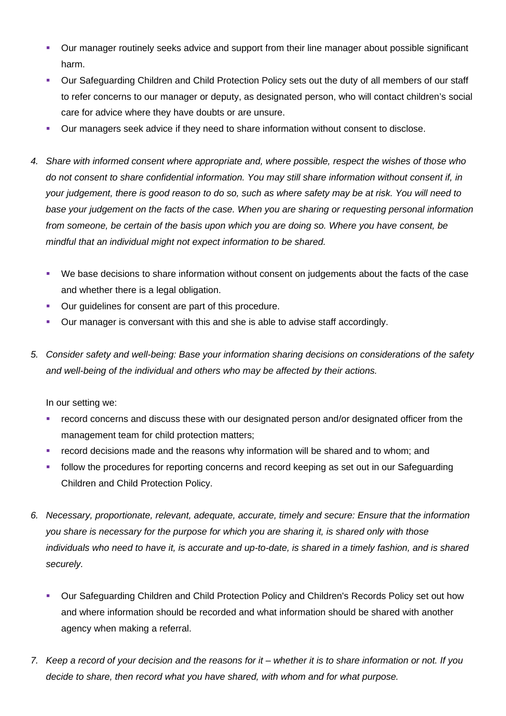- Our manager routinely seeks advice and support from their line manager about possible significant harm.
- Our Safeguarding Children and Child Protection Policy sets out the duty of all members of our staff to refer concerns to our manager or deputy, as designated person, who will contact children's social care for advice where they have doubts or are unsure.
- Our managers seek advice if they need to share information without consent to disclose.
- *4. Share with informed consent where appropriate and, where possible, respect the wishes of those who do not consent to share confidential information. You may still share information without consent if, in your judgement, there is good reason to do so, such as where safety may be at risk. You will need to base your judgement on the facts of the case. When you are sharing or requesting personal information from someone, be certain of the basis upon which you are doing so. Where you have consent, be mindful that an individual might not expect information to be shared.* 
	- We base decisions to share information without consent on judgements about the facts of the case and whether there is a legal obligation.
	- Our guidelines for consent are part of this procedure.
	- Our manager is conversant with this and she is able to advise staff accordingly.
- *5. Consider safety and well-being: Base your information sharing decisions on considerations of the safety and well-being of the individual and others who may be affected by their actions.*

In our setting we:

- record concerns and discuss these with our designated person and/or designated officer from the management team for child protection matters;
- record decisions made and the reasons why information will be shared and to whom; and
- **Follow the procedures for reporting concerns and record keeping as set out in our Safeguarding** Children and Child Protection Policy.
- *6. Necessary, proportionate, relevant, adequate, accurate, timely and secure: Ensure that the information you share is necessary for the purpose for which you are sharing it, is shared only with those individuals who need to have it, is accurate and up-to-date, is shared in a timely fashion, and is shared securely.*
	- Our Safeguarding Children and Child Protection Policy and Children's Records Policy set out how and where information should be recorded and what information should be shared with another agency when making a referral.
- *7. Keep a record of your decision and the reasons for it whether it is to share information or not. If you decide to share, then record what you have shared, with whom and for what purpose.*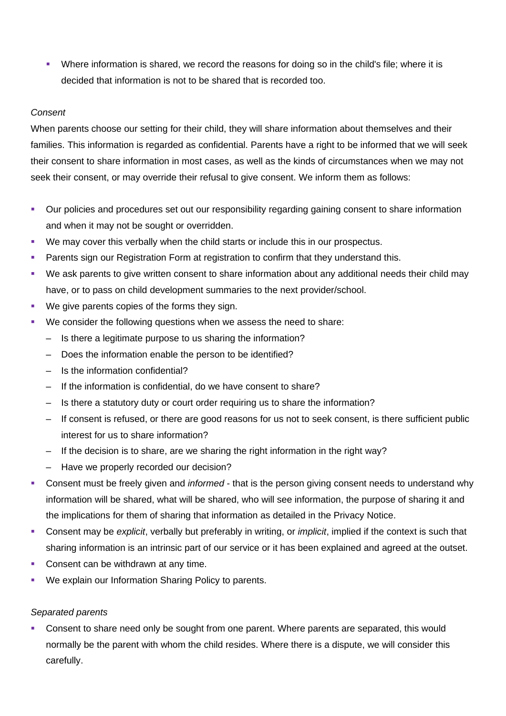Where information is shared, we record the reasons for doing so in the child's file; where it is decided that information is not to be shared that is recorded too.

### *Consent*

When parents choose our setting for their child, they will share information about themselves and their families. This information is regarded as confidential. Parents have a right to be informed that we will seek their consent to share information in most cases, as well as the kinds of circumstances when we may not seek their consent, or may override their refusal to give consent. We inform them as follows:

- Our policies and procedures set out our responsibility regarding gaining consent to share information and when it may not be sought or overridden.
- We may cover this verbally when the child starts or include this in our prospectus.
- Parents sign our Registration Form at registration to confirm that they understand this.
- We ask parents to give written consent to share information about any additional needs their child may have, or to pass on child development summaries to the next provider/school.
- We give parents copies of the forms they sign.
- We consider the following questions when we assess the need to share:
	- Is there a legitimate purpose to us sharing the information?
	- Does the information enable the person to be identified?
	- Is the information confidential?
	- If the information is confidential, do we have consent to share?
	- Is there a statutory duty or court order requiring us to share the information?
	- If consent is refused, or there are good reasons for us not to seek consent, is there sufficient public interest for us to share information?
	- If the decision is to share, are we sharing the right information in the right way?
	- Have we properly recorded our decision?
- Consent must be freely given and *informed* that is the person giving consent needs to understand why information will be shared, what will be shared, who will see information, the purpose of sharing it and the implications for them of sharing that information as detailed in the Privacy Notice.
- Consent may be *explicit*, verbally but preferably in writing, or *implicit*, implied if the context is such that sharing information is an intrinsic part of our service or it has been explained and agreed at the outset.
- Consent can be withdrawn at any time.
- We explain our Information Sharing Policy to parents.

## *Separated parents*

 Consent to share need only be sought from one parent. Where parents are separated, this would normally be the parent with whom the child resides. Where there is a dispute, we will consider this carefully.